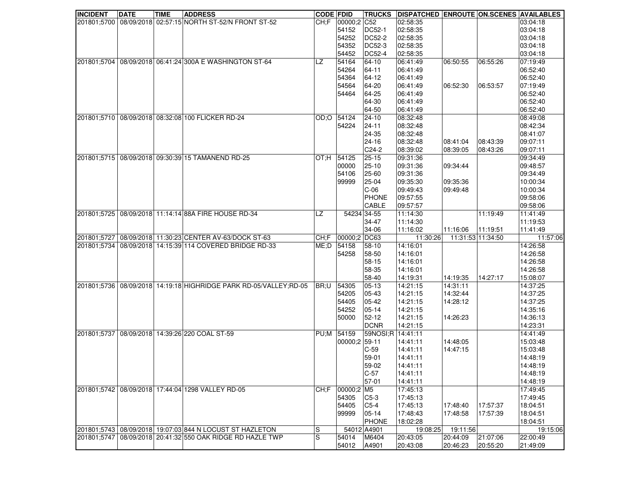| <b>INCIDENT</b> | <b>DATE</b> | <b>TIME</b> | <b>ADDRESS</b>                                           | <b>CODE FDID</b> |               |                   | TRUCKS   DISPATCHED   ENROUTE   ON.SCENES   AVAILABLES |                      |          |                      |
|-----------------|-------------|-------------|----------------------------------------------------------|------------------|---------------|-------------------|--------------------------------------------------------|----------------------|----------|----------------------|
| 201801;5700     |             |             | 08/09/2018 02:57:15 NORTH ST-52/N FRONT ST-52            | CH: F            | 00000;2 C52   |                   | 02:58:35                                               |                      |          | 03:04:18             |
|                 |             |             |                                                          |                  | 54152         | <b>DC52-1</b>     | 02:58:35                                               |                      |          | 03:04:18             |
|                 |             |             |                                                          |                  | 54252         | DC52-2            | 02:58:35                                               |                      |          | 03:04:18             |
|                 |             |             |                                                          |                  | 54352         | <b>DC52-3</b>     | 02:58:35                                               |                      |          | 03:04:18             |
|                 |             |             |                                                          |                  | 54452         | <b>DC52-4</b>     | 02:58:35                                               |                      |          | 03:04:18             |
| 201801;5704     |             |             | 08/09/2018 06:41:24 300A E WASHINGTON ST-64              | <b>LZ</b>        | 54164         | 64-10             | 06:41:49                                               | 06:50:55             | 06:55:26 | 07:19:49             |
|                 |             |             |                                                          |                  | 54264         | 64-11             | 06:41:49                                               |                      |          | 06:52:40             |
|                 |             |             |                                                          |                  | 54364         | 64-12             | 06:41:49                                               |                      |          | 06:52:40             |
|                 |             |             |                                                          |                  | 54564         | 64-20             | 06:41:49                                               | 06:52:30             | 06:53:57 | 07:19:49             |
|                 |             |             |                                                          |                  | 54464         | 64-25             | 06:41:49                                               |                      |          | 06:52:40             |
|                 |             |             |                                                          |                  |               | 64-30             | 06:41:49                                               |                      |          | 06:52:40             |
|                 |             |             |                                                          |                  |               | 64-50             | 06:41:49                                               |                      |          | 06:52:40             |
| 201801:5710     |             |             | 08/09/2018 08:32:08 100 FLICKER RD-24                    | OD:OO            | 54124         | $24 - 10$         | 08:32:48                                               |                      |          | 08:49:08             |
|                 |             |             |                                                          |                  | 54224         | 24-11             | 08:32:48                                               |                      |          | 08:42:34             |
|                 |             |             |                                                          |                  |               | 24-35             | 08:32:48                                               |                      |          | 08:41:07             |
|                 |             |             |                                                          |                  |               | $24 - 16$         | 08:32:48                                               | 08:41:04             | 08:43:39 | 09:07:11             |
|                 |             |             |                                                          |                  |               | C24-2             | 08:39:02                                               | 08:39:05             | 08:43:26 | 09:07:11             |
| 201801;5715     |             |             | 08/09/2018 09:30:39 15 TAMANEND RD-25                    | <b>H</b> :TO     | 54125         | $25 - 15$         | 09:31:36                                               |                      |          | 09:34:49             |
|                 |             |             |                                                          |                  | 00000         | $25 - 10$         | 09:31:36                                               | 09:34:44             |          | 09:48:57             |
|                 |             |             |                                                          |                  | 54106         | 25-60             | 09:31:36                                               |                      |          | 09:34:49             |
|                 |             |             |                                                          |                  | 99999         | 25-04             | 09:35:30                                               | 09:35:36             |          | 10:00:34             |
|                 |             |             |                                                          |                  |               | $C-06$            | 09:49:43                                               | 09:49:48             |          | 10:00:34             |
|                 |             |             |                                                          |                  |               | <b>PHONE</b>      | 09:57:55                                               |                      |          | 09:58:06             |
|                 |             |             |                                                          |                  |               | CABLE             | 09:57:57                                               |                      |          | 09:58:06             |
| 201801;5725     |             |             | 08/09/2018 11:14:14 88A FIRE HOUSE RD-34                 | LZ               | 54234 34-55   |                   | 11:14:30                                               |                      | 11:19:49 | 11:41:49             |
|                 |             |             |                                                          |                  |               | 34-47             | 11:14:30                                               |                      |          | 11:19:53             |
|                 |             |             |                                                          |                  |               | 34-06             | 11:16:02                                               | 11:16:06             | 11:19:51 | 11:41:49             |
| 201801;5727     |             |             | 08/09/2018 11:30:23 CENTER AV-63/DOCK ST-63              | CH:F             | 00000;2 DC63  |                   | 11:30:26                                               | 11:31:53 11:34:50    |          | 11:57:06             |
| 201801;5734     |             |             | 08/09/2018 14:15:39 114 COVERED BRIDGE RD-33             | ME;D             | 54158         | $58-10$           | 14:16:01                                               |                      |          | 14:26:58             |
|                 |             |             |                                                          |                  | 54258         | 58-50             | 14:16:01                                               |                      |          | 14:26:58             |
|                 |             |             |                                                          |                  |               | 58-15             | 14:16:01                                               |                      |          | 14:26:58             |
|                 |             |             |                                                          |                  |               | 58-35             | 14:16:01                                               |                      |          | 14:26:58             |
| 201801;5736     |             |             | 08/09/2018 14:19:18 HIGHRIDGE PARK RD-05/VALLEY; RD-05   |                  | 54305         | 58-40<br>05-13    | 14:19:31<br>14:21:15                                   | 14:19:35<br>14:31:11 | 14:27:17 | 15:08:07             |
|                 |             |             |                                                          | BR;U             | 54205         | 05-43             | 14:21:15                                               | 14:32:44             |          | 14:37:25<br>14:37:25 |
|                 |             |             |                                                          |                  | 54405         | 05-42             | 14:21:15                                               | 14:28:12             |          | 14:37:25             |
|                 |             |             |                                                          |                  | 54252         | 05-14             | 14:21:15                                               |                      |          | 14:35:16             |
|                 |             |             |                                                          |                  | 50000         | 52-12             | 14:21:15                                               | 14:26:23             |          | 14:36:13             |
|                 |             |             |                                                          |                  |               | <b>DCNR</b>       | 14:21:15                                               |                      |          | 14:23:31             |
| 201801;5737     |             |             | 08/09/2018 14:39:26 220 COAL ST-59                       | PU:M             | 54159         | 59NOSI;R 14:41:11 |                                                        |                      |          | 14:41:49             |
|                 |             |             |                                                          |                  | 00000;2 59-11 |                   | 14:41:11                                               | 14:48:05             |          | 15:03:48             |
|                 |             |             |                                                          |                  |               | $C-59$            | 14:41:11                                               | 14:47:15             |          | 15:03:48             |
|                 |             |             |                                                          |                  |               | 59-01             | 14:41:11                                               |                      |          | 14:48:19             |
|                 |             |             |                                                          |                  |               | 59-02             | 14:41:11                                               |                      |          | 14:48:19             |
|                 |             |             |                                                          |                  |               | $C-57$            | 14:41:11                                               |                      |          | 14:48:19             |
|                 |             |             |                                                          |                  |               | $57-01$           | 14:41:11                                               |                      |          | 14:48:19             |
| 201801;5742     |             |             | 08/09/2018 17:44:04 1298 VALLEY RD-05                    | CH:F             | 00000;2 M5    |                   | 17:45:13                                               |                      |          | 17:49:45             |
|                 |             |             |                                                          |                  | 54305         | $C5-3$            | 17:45:13                                               |                      |          | 17:49:45             |
|                 |             |             |                                                          |                  | 54405         | $C5-4$            | 17:45:13                                               | 17:48:40             | 17:57:37 | 18:04:51             |
|                 |             |             |                                                          |                  | 99999         | $05 - 14$         | 17:48:43                                               | 17:48:58             | 17:57:39 | 18:04:51             |
|                 |             |             |                                                          |                  |               | <b>PHONE</b>      | 18:02:28                                               |                      |          | 18:04:51             |
|                 |             |             | 201801;5743 08/09/2018 19:07:03 844 N LOCUST ST HAZLETON | S                |               | 54012 A4901       | 19:08:25                                               | 19:11:56             |          | 19:15:06             |
| 201801;5747     |             |             | 08/09/2018 20:41:32 550 OAK RIDGE RD HAZLE TWP           | $\mathbf S$      | 54014         | M6404             | 20:43:05                                               | 20:44:09             | 21:07:06 | 22:00:49             |
|                 |             |             |                                                          |                  | 54012         | A4901             | 20:43:08                                               | 20:46:23             | 20:55:20 | 21:49:09             |